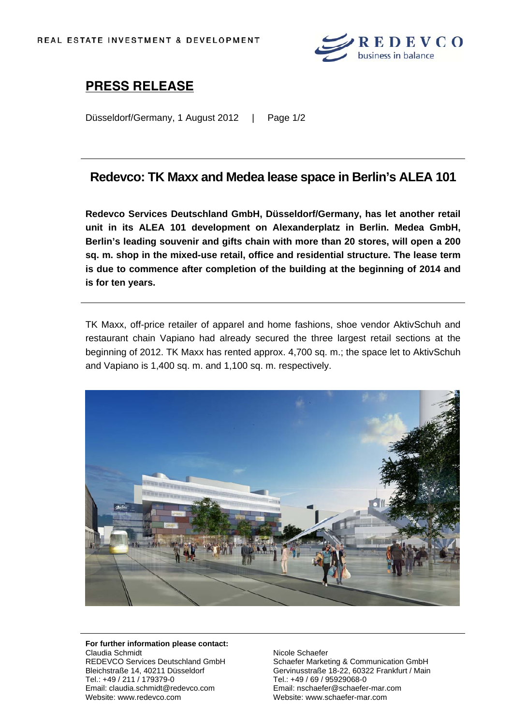

# **PRESS RELEASE**

Düsseldorf/Germany, 1 August 2012 | Page 1/2

### **Redevco: TK Maxx and Medea lease space in Berlin's ALEA 101**

**Redevco Services Deutschland GmbH, Düsseldorf/Germany, has let another retail unit in its ALEA 101 development on Alexanderplatz in Berlin. Medea GmbH, Berlin's leading souvenir and gifts chain with more than 20 stores, will open a 200 sq. m. shop in the mixed-use retail, office and residential structure. The lease term is due to commence after completion of the building at the beginning of 2014 and is for ten years.** 

TK Maxx, off-price retailer of apparel and home fashions, shoe vendor AktivSchuh and restaurant chain Vapiano had already secured the three largest retail sections at the beginning of 2012. TK Maxx has rented approx. 4,700 sq. m.; the space let to AktivSchuh and Vapiano is 1,400 sq. m. and 1,100 sq. m. respectively.



#### **For further information please contact:** Claudia Schmidt REDEVCO Services Deutschland GmbH Bleichstraße 14, 40211 Düsseldorf Tel.: +49 / 211 / 179379-0 Email: claudia.schmidt@redevco.com Website: www.redevco.com

Nicole Schaefer Schaefer Marketing & Communication GmbH Gervinusstraße 18-22, 60322 Frankfurt / Main Tel.: +49 / 69 / 95929068-0 Email: nschaefer@schaefer-mar.com Website: www.schaefer-mar.com